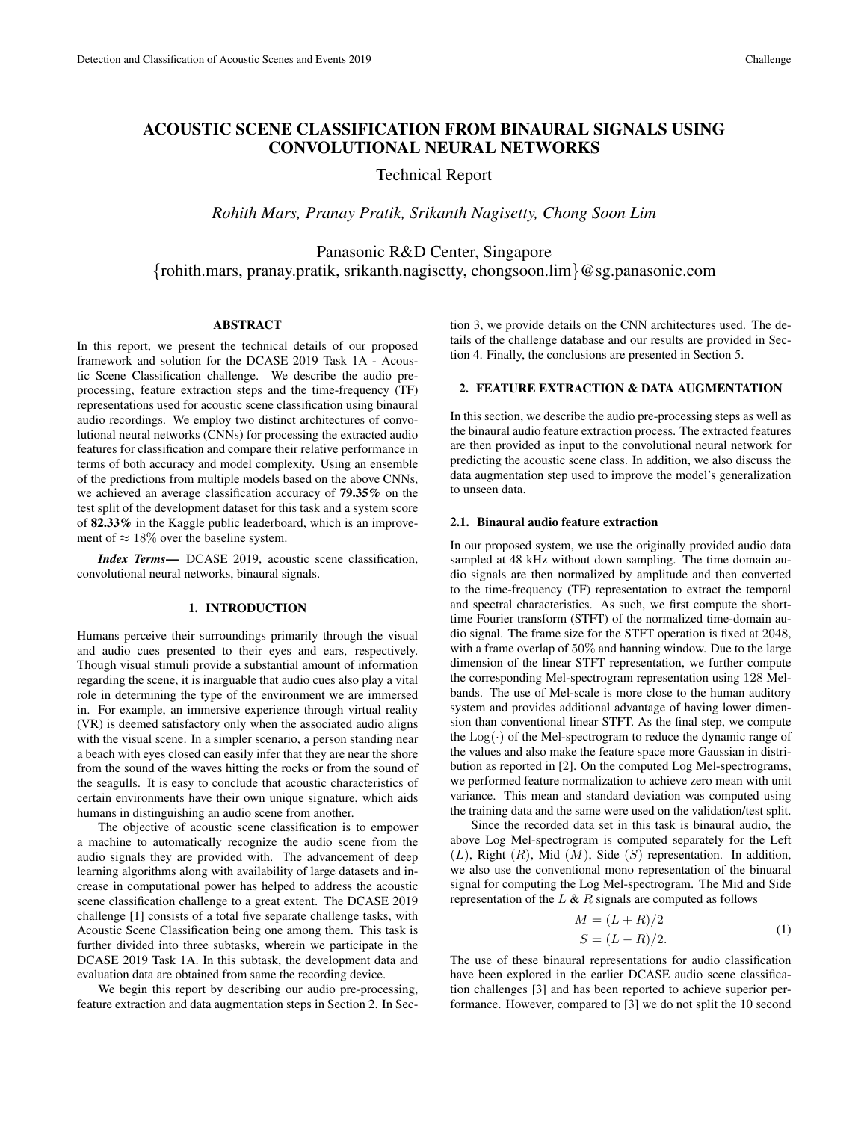# ACOUSTIC SCENE CLASSIFICATION FROM BINAURAL SIGNALS USING CONVOLUTIONAL NEURAL NETWORKS

## Technical Report

*Rohith Mars, Pranay Pratik, Srikanth Nagisetty, Chong Soon Lim*

Panasonic R&D Center, Singapore {rohith.mars, pranay.pratik, srikanth.nagisetty, chongsoon.lim}@sg.panasonic.com

#### ABSTRACT

In this report, we present the technical details of our proposed framework and solution for the DCASE 2019 Task 1A - Acoustic Scene Classification challenge. We describe the audio preprocessing, feature extraction steps and the time-frequency (TF) representations used for acoustic scene classification using binaural audio recordings. We employ two distinct architectures of convolutional neural networks (CNNs) for processing the extracted audio features for classification and compare their relative performance in terms of both accuracy and model complexity. Using an ensemble of the predictions from multiple models based on the above CNNs, we achieved an average classification accuracy of 79.35% on the test split of the development dataset for this task and a system score of 82.33% in the Kaggle public leaderboard, which is an improvement of  $\approx 18\%$  over the baseline system.

*Index Terms*— DCASE 2019, acoustic scene classification, convolutional neural networks, binaural signals.

#### 1. INTRODUCTION

Humans perceive their surroundings primarily through the visual and audio cues presented to their eyes and ears, respectively. Though visual stimuli provide a substantial amount of information regarding the scene, it is inarguable that audio cues also play a vital role in determining the type of the environment we are immersed in. For example, an immersive experience through virtual reality (VR) is deemed satisfactory only when the associated audio aligns with the visual scene. In a simpler scenario, a person standing near a beach with eyes closed can easily infer that they are near the shore from the sound of the waves hitting the rocks or from the sound of the seagulls. It is easy to conclude that acoustic characteristics of certain environments have their own unique signature, which aids humans in distinguishing an audio scene from another.

The objective of acoustic scene classification is to empower a machine to automatically recognize the audio scene from the audio signals they are provided with. The advancement of deep learning algorithms along with availability of large datasets and increase in computational power has helped to address the acoustic scene classification challenge to a great extent. The DCASE 2019 challenge [1] consists of a total five separate challenge tasks, with Acoustic Scene Classification being one among them. This task is further divided into three subtasks, wherein we participate in the DCASE 2019 Task 1A. In this subtask, the development data and evaluation data are obtained from same the recording device.

We begin this report by describing our audio pre-processing, feature extraction and data augmentation steps in Section 2. In Section 3, we provide details on the CNN architectures used. The details of the challenge database and our results are provided in Section 4. Finally, the conclusions are presented in Section 5.

## 2. FEATURE EXTRACTION & DATA AUGMENTATION

In this section, we describe the audio pre-processing steps as well as the binaural audio feature extraction process. The extracted features are then provided as input to the convolutional neural network for predicting the acoustic scene class. In addition, we also discuss the data augmentation step used to improve the model's generalization to unseen data.

#### 2.1. Binaural audio feature extraction

In our proposed system, we use the originally provided audio data sampled at 48 kHz without down sampling. The time domain audio signals are then normalized by amplitude and then converted to the time-frequency (TF) representation to extract the temporal and spectral characteristics. As such, we first compute the shorttime Fourier transform (STFT) of the normalized time-domain audio signal. The frame size for the STFT operation is fixed at 2048, with a frame overlap of 50% and hanning window. Due to the large dimension of the linear STFT representation, we further compute the corresponding Mel-spectrogram representation using 128 Melbands. The use of Mel-scale is more close to the human auditory system and provides additional advantage of having lower dimension than conventional linear STFT. As the final step, we compute the  $Log(\cdot)$  of the Mel-spectrogram to reduce the dynamic range of the values and also make the feature space more Gaussian in distribution as reported in [2]. On the computed Log Mel-spectrograms, we performed feature normalization to achieve zero mean with unit variance. This mean and standard deviation was computed using the training data and the same were used on the validation/test split.

Since the recorded data set in this task is binaural audio, the above Log Mel-spectrogram is computed separately for the Left  $(L)$ , Right  $(R)$ , Mid  $(M)$ , Side  $(S)$  representation. In addition, we also use the conventional mono representation of the binuaral signal for computing the Log Mel-spectrogram. The Mid and Side representation of the  $L \& R$  signals are computed as follows

$$
M = (L + R)/2
$$
  
\n
$$
S = (L - R)/2.
$$
\n(1)

The use of these binaural representations for audio classification have been explored in the earlier DCASE audio scene classification challenges [3] and has been reported to achieve superior performance. However, compared to [3] we do not split the 10 second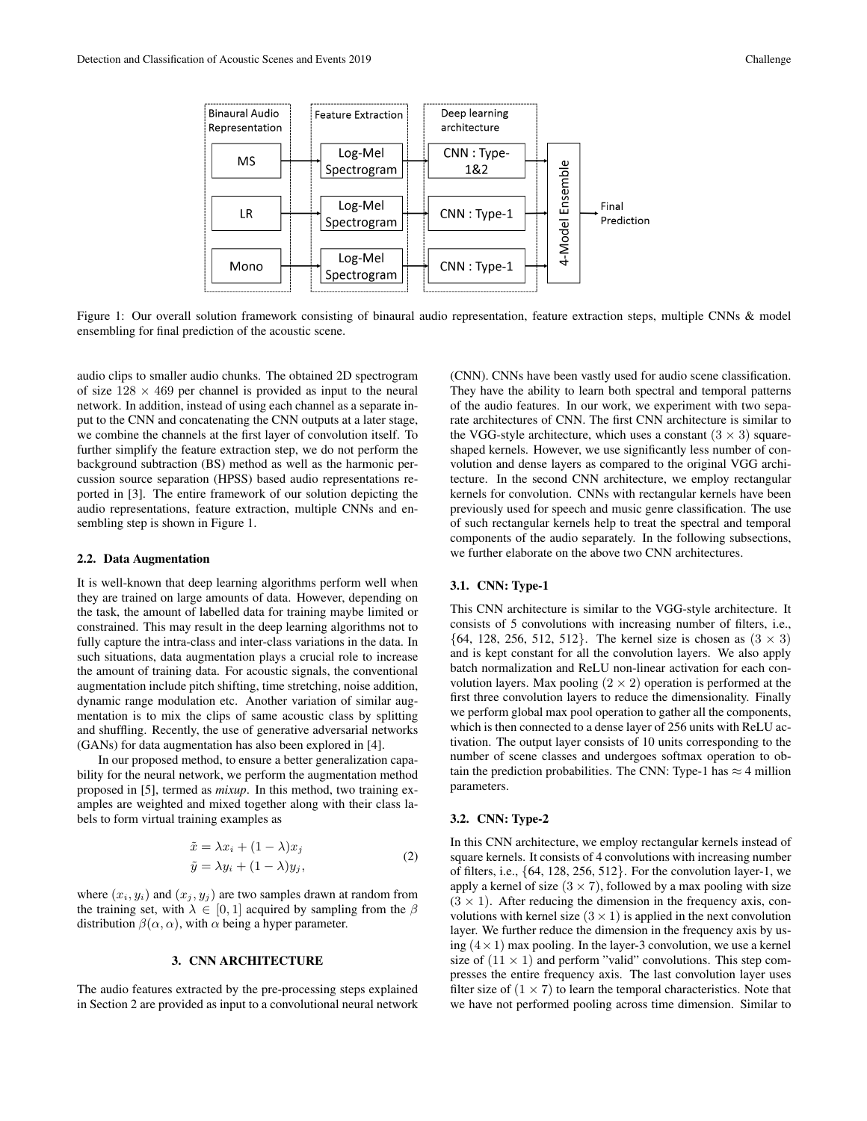

Figure 1: Our overall solution framework consisting of binaural audio representation, feature extraction steps, multiple CNNs & model ensembling for final prediction of the acoustic scene.

audio clips to smaller audio chunks. The obtained 2D spectrogram of size  $128 \times 469$  per channel is provided as input to the neural network. In addition, instead of using each channel as a separate input to the CNN and concatenating the CNN outputs at a later stage, we combine the channels at the first layer of convolution itself. To further simplify the feature extraction step, we do not perform the background subtraction (BS) method as well as the harmonic percussion source separation (HPSS) based audio representations reported in [3]. The entire framework of our solution depicting the audio representations, feature extraction, multiple CNNs and ensembling step is shown in Figure 1.

## 2.2. Data Augmentation

It is well-known that deep learning algorithms perform well when they are trained on large amounts of data. However, depending on the task, the amount of labelled data for training maybe limited or constrained. This may result in the deep learning algorithms not to fully capture the intra-class and inter-class variations in the data. In such situations, data augmentation plays a crucial role to increase the amount of training data. For acoustic signals, the conventional augmentation include pitch shifting, time stretching, noise addition, dynamic range modulation etc. Another variation of similar augmentation is to mix the clips of same acoustic class by splitting and shuffling. Recently, the use of generative adversarial networks (GANs) for data augmentation has also been explored in [4].

In our proposed method, to ensure a better generalization capability for the neural network, we perform the augmentation method proposed in [5], termed as *mixup*. In this method, two training examples are weighted and mixed together along with their class labels to form virtual training examples as

$$
\tilde{x} = \lambda x_i + (1 - \lambda)x_j \n\tilde{y} = \lambda y_i + (1 - \lambda)y_j,
$$
\n(2)

where  $(x_i, y_i)$  and  $(x_j, y_j)$  are two samples drawn at random from the training set, with  $\lambda \in [0, 1]$  acquired by sampling from the  $\beta$ distribution  $\beta(\alpha, \alpha)$ , with  $\alpha$  being a hyper parameter.

#### 3. CNN ARCHITECTURE

The audio features extracted by the pre-processing steps explained in Section 2 are provided as input to a convolutional neural network (CNN). CNNs have been vastly used for audio scene classification. They have the ability to learn both spectral and temporal patterns of the audio features. In our work, we experiment with two separate architectures of CNN. The first CNN architecture is similar to the VGG-style architecture, which uses a constant  $(3 \times 3)$  squareshaped kernels. However, we use significantly less number of convolution and dense layers as compared to the original VGG architecture. In the second CNN architecture, we employ rectangular kernels for convolution. CNNs with rectangular kernels have been previously used for speech and music genre classification. The use of such rectangular kernels help to treat the spectral and temporal components of the audio separately. In the following subsections, we further elaborate on the above two CNN architectures.

#### 3.1. CNN: Type-1

This CNN architecture is similar to the VGG-style architecture. It consists of 5 convolutions with increasing number of filters, i.e., {64, 128, 256, 512, 512}. The kernel size is chosen as  $(3 \times 3)$ and is kept constant for all the convolution layers. We also apply batch normalization and ReLU non-linear activation for each convolution layers. Max pooling  $(2 \times 2)$  operation is performed at the first three convolution layers to reduce the dimensionality. Finally we perform global max pool operation to gather all the components, which is then connected to a dense layer of 256 units with ReLU activation. The output layer consists of 10 units corresponding to the number of scene classes and undergoes softmax operation to obtain the prediction probabilities. The CNN: Type-1 has  $\approx$  4 million parameters.

#### 3.2. CNN: Type-2

In this CNN architecture, we employ rectangular kernels instead of square kernels. It consists of 4 convolutions with increasing number of filters, i.e., {64, 128, 256, 512}. For the convolution layer-1, we apply a kernel of size  $(3 \times 7)$ , followed by a max pooling with size  $(3 \times 1)$ . After reducing the dimension in the frequency axis, convolutions with kernel size  $(3 \times 1)$  is applied in the next convolution layer. We further reduce the dimension in the frequency axis by using  $(4 \times 1)$  max pooling. In the layer-3 convolution, we use a kernel size of  $(11 \times 1)$  and perform "valid" convolutions. This step compresses the entire frequency axis. The last convolution layer uses filter size of  $(1 \times 7)$  to learn the temporal characteristics. Note that we have not performed pooling across time dimension. Similar to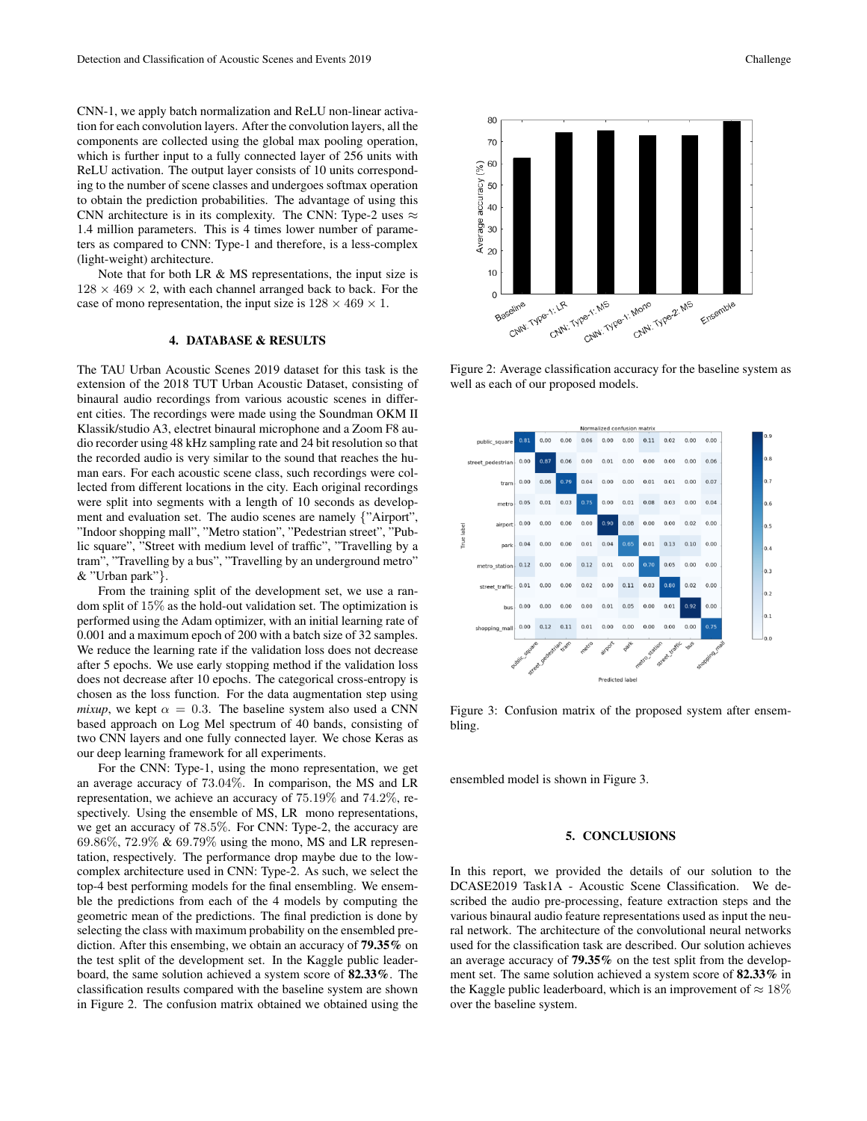CNN-1, we apply batch normalization and ReLU non-linear activation for each convolution layers. After the convolution layers, all the components are collected using the global max pooling operation, which is further input to a fully connected layer of 256 units with ReLU activation. The output layer consists of 10 units corresponding to the number of scene classes and undergoes softmax operation to obtain the prediction probabilities. The advantage of using this CNN architecture is in its complexity. The CNN: Type-2 uses  $\approx$ 1.4 million parameters. This is 4 times lower number of parameters as compared to CNN: Type-1 and therefore, is a less-complex (light-weight) architecture.

Note that for both LR & MS representations, the input size is  $128 \times 469 \times 2$ , with each channel arranged back to back. For the case of mono representation, the input size is  $128 \times 469 \times 1$ .

### 4. DATABASE & RESULTS

The TAU Urban Acoustic Scenes 2019 dataset for this task is the extension of the 2018 TUT Urban Acoustic Dataset, consisting of binaural audio recordings from various acoustic scenes in different cities. The recordings were made using the Soundman OKM II Klassik/studio A3, electret binaural microphone and a Zoom F8 audio recorder using 48 kHz sampling rate and 24 bit resolution so that the recorded audio is very similar to the sound that reaches the human ears. For each acoustic scene class, such recordings were collected from different locations in the city. Each original recordings were split into segments with a length of 10 seconds as development and evaluation set. The audio scenes are namely {"Airport", "Indoor shopping mall", "Metro station", "Pedestrian street", "Public square", "Street with medium level of traffic", "Travelling by a tram", "Travelling by a bus", "Travelling by an underground metro" & "Urban park"}.

From the training split of the development set, we use a random split of 15% as the hold-out validation set. The optimization is performed using the Adam optimizer, with an initial learning rate of 0.001 and a maximum epoch of 200 with a batch size of 32 samples. We reduce the learning rate if the validation loss does not decrease after 5 epochs. We use early stopping method if the validation loss does not decrease after 10 epochs. The categorical cross-entropy is chosen as the loss function. For the data augmentation step using *mixup*, we kept  $\alpha = 0.3$ . The baseline system also used a CNN based approach on Log Mel spectrum of 40 bands, consisting of two CNN layers and one fully connected layer. We chose Keras as our deep learning framework for all experiments.

For the CNN: Type-1, using the mono representation, we get an average accuracy of 73.04%. In comparison, the MS and LR representation, we achieve an accuracy of 75.19% and 74.2%, respectively. Using the ensemble of MS, LR mono representations, we get an accuracy of 78.5%. For CNN: Type-2, the accuracy are 69.86%, 72.9% & 69.79% using the mono, MS and LR representation, respectively. The performance drop maybe due to the lowcomplex architecture used in CNN: Type-2. As such, we select the top-4 best performing models for the final ensembling. We ensemble the predictions from each of the 4 models by computing the geometric mean of the predictions. The final prediction is done by selecting the class with maximum probability on the ensembled prediction. After this ensembing, we obtain an accuracy of 79.35% on the test split of the development set. In the Kaggle public leaderboard, the same solution achieved a system score of 82.33%. The classification results compared with the baseline system are shown in Figure 2. The confusion matrix obtained we obtained using the



Figure 2: Average classification accuracy for the baseline system as well as each of our proposed models.



Figure 3: Confusion matrix of the proposed system after ensembling.

ensembled model is shown in Figure 3.

#### 5. CONCLUSIONS

In this report, we provided the details of our solution to the DCASE2019 Task1A - Acoustic Scene Classification. We described the audio pre-processing, feature extraction steps and the various binaural audio feature representations used as input the neural network. The architecture of the convolutional neural networks used for the classification task are described. Our solution achieves an average accuracy of 79.35% on the test split from the development set. The same solution achieved a system score of 82.33% in the Kaggle public leaderboard, which is an improvement of  $\approx 18\%$ over the baseline system.